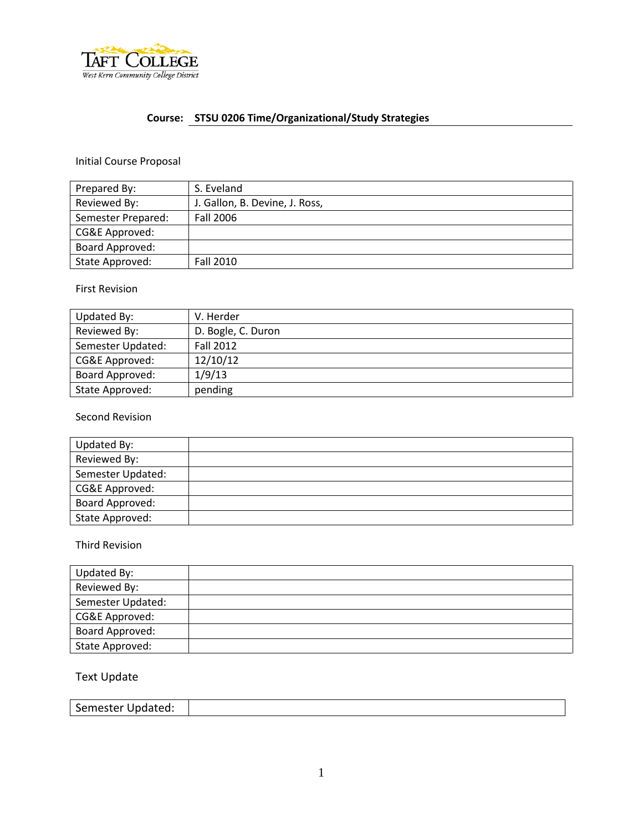

# **Course: STSU 0206 Time/Organizational/Study Strategies**

## Initial Course Proposal

| Prepared By:       | S. Eveland                     |  |  |
|--------------------|--------------------------------|--|--|
| Reviewed By:       | J. Gallon, B. Devine, J. Ross, |  |  |
| Semester Prepared: | Fall 2006                      |  |  |
| CG&E Approved:     |                                |  |  |
| Board Approved:    |                                |  |  |
| State Approved:    | Fall 2010                      |  |  |

#### First Revision

| Updated By:       | V. Herder          |
|-------------------|--------------------|
| Reviewed By:      | D. Bogle, C. Duron |
| Semester Updated: | <b>Fall 2012</b>   |
| CG&E Approved:    | 12/10/12           |
| Board Approved:   | 1/9/13             |
| State Approved:   | pending            |

#### Second Revision

| Updated By:       |  |
|-------------------|--|
| Reviewed By:      |  |
| Semester Updated: |  |
| CG&E Approved:    |  |
| Board Approved:   |  |
| State Approved:   |  |

#### Third Revision

| Updated By:       |  |
|-------------------|--|
| Reviewed By:      |  |
| Semester Updated: |  |
| CG&E Approved:    |  |
| Board Approved:   |  |
| State Approved:   |  |

## Text Update

| Semester Updated: |  |
|-------------------|--|
|-------------------|--|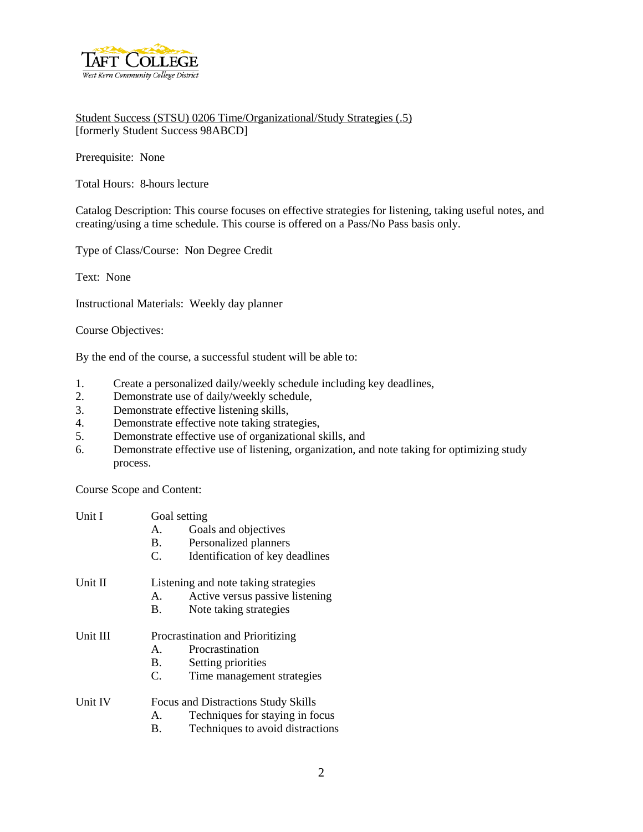

Student Success (STSU) 0206 Time/Organizational/Study Strategies (.5) [formerly Student Success 98ABCD]

Prerequisite: None

Total Hours: 8-hours lecture

Catalog Description: This course focuses on effective strategies for listening, taking useful notes, and creating/using a time schedule. This course is offered on a Pass/No Pass basis only.

Type of Class/Course: Non Degree Credit

Text: None

Instructional Materials: Weekly day planner

Course Objectives:

By the end of the course, a successful student will be able to:

- 1. Create a personalized daily/weekly schedule including key deadlines,
- 2. Demonstrate use of daily/weekly schedule,
- 3. Demonstrate effective listening skills,
- 4. Demonstrate effective note taking strategies,
- 5. Demonstrate effective use of organizational skills, and
- 6. Demonstrate effective use of listening, organization, and note taking for optimizing study process.

Course Scope and Content:

| Unit I   | Goal setting                         |                                  |  |
|----------|--------------------------------------|----------------------------------|--|
|          | A.                                   | Goals and objectives             |  |
|          | <b>B</b> .                           | Personalized planners            |  |
|          | C.                                   | Identification of key deadlines  |  |
| Unit II  | Listening and note taking strategies |                                  |  |
|          | A.                                   | Active versus passive listening  |  |
|          | B.                                   | Note taking strategies           |  |
| Unit III | Procrastination and Prioritizing     |                                  |  |
|          | А.                                   | Procrastination                  |  |
|          | В.                                   | Setting priorities               |  |
|          | C.                                   | Time management strategies       |  |
| Unit IV  | Focus and Distractions Study Skills  |                                  |  |
|          | A.                                   | Techniques for staying in focus  |  |
|          | Β.                                   | Techniques to avoid distractions |  |